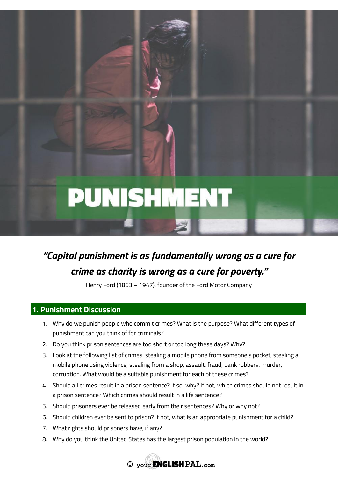# PUNISHMENT

# *"Capital punishment is as fundamentally wrong as a cure for crime as charity is wrong as a cure for poverty."*

Henry Ford (1863 – 1947), founder of the Ford Motor Company

# **1. Punishment Discussion**

- 1. Why do we punish people who commit crimes? What is the purpose? What different types of punishment can you think of for criminals?
- 2. Do you think prison sentences are too short or too long these days? Why?
- 3. Look at the following list of crimes: stealing a mobile phone from someone's pocket, stealing a mobile phone using violence, stealing from a shop, assault, fraud, bank robbery, murder, corruption. What would be a suitable punishment for each of these crimes?
- 4. Should all crimes result in a prison sentence? If so, why? If not, which crimes should not result in a prison sentence? Which crimes should result in a life sentence?
- 5. Should prisoners ever be released early from their sentences? Why or why not?
- 6. Should children ever be sent to prison? If not, what is an appropriate punishment for a child?
- 7. What rights should prisoners have, if any?
- 8. Why do you think the United States has the largest prison population in the world?

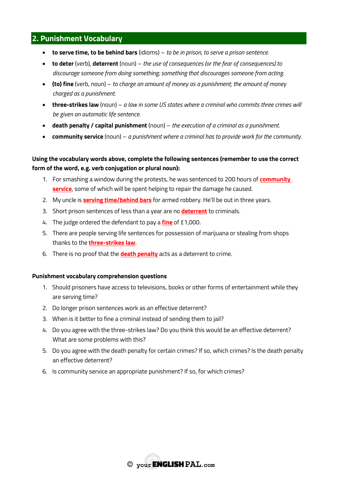# **2. Punishment Vocabulary**

- **to serve time, to be behind bars** (idioms) *to be in prison, to serve a prison sentence.*
- **to deter** (verb), **deterrent** (noun) *the use of consequences (or the fear of consequences) to discourage someone from doing something; something that discourages someone from acting.*
- **(to) fine** (verb, noun) *to charge an amount of money as a punishment; the amount of money charged as a punishment.*
- **three-strikes law** (noun) *a law in some US states where a criminal who commits three crimes will be given an automatic life sentence.*
- **death penalty / capital punishment** (noun) *the execution of a criminal as a punishment.*
- **community service** (noun) *a punishment where a criminal has to provide work for the community.*

### **Using the vocabulary words above, complete the following sentences (remember to use the correct form of the word, e.g. verb conjugation or plural noun):**

- 1. For smashing a window during the protests, he was sentenced to 200 hours of **community service**, some of which will be spent helping to repair the damage he caused.
- 2. My uncle is **serving time/behind bars** for armed robbery. He'll be out in three years.
- 3. Short prison sentences of less than a year are no **deterrent** to criminals.
- 4. The judge ordered the defendant to pay a **fine** of £1,000.
- 5. There are people serving life sentences for possession of marijuana or stealing from shops thanks to the **three-strikes law**.
- 6. There is no proof that the **death penalty** acts as a deterrent to crime.

#### **Punishment vocabulary comprehension questions**

- 1. Should prisoners have access to televisions, books or other forms of entertainment while they are serving time?
- 2. Do longer prison sentences work as an effective deterrent?
- 3. When is it better to fine a criminal instead of sending them to jail?
- 4. Do you agree with the three-strikes law? Do you think this would be an effective deterrent? What are some problems with this?
- 5. Do you agree with the death penalty for certain crimes? If so, which crimes? Is the death penalty an effective deterrent?
- 6. Is community service an appropriate punishment? If so, for which crimes?

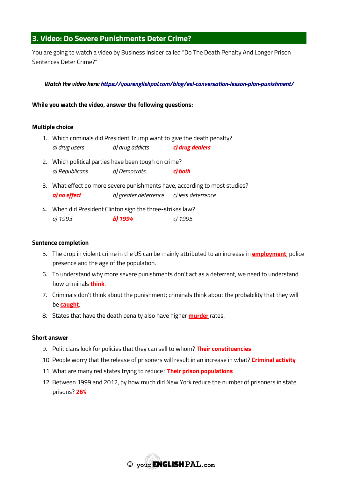# **3. Video: Do Severe Punishments Deter Crime?**

You are going to watch a video by Business Insider called "Do The Death Penalty And Longer Prison Sentences Deter Crime?"

*Watch the video here:<https://yourenglishpal.com/blog/esl-conversation-lesson-plan-punishment/>*

**While you watch the video, answer the following questions:**

#### **Multiple choice**

- 1. Which criminals did President Trump want to give the death penalty? *a) drug users b) drug addicts c) drug dealers*
- 2. Which political parties have been tough on crime? *a) Republicans b) Democrats c) both*
- 3. What effect do more severe punishments have, according to most studies? *a) no effect b) greater deterrence c) less deterrence*
- 4. When did President Clinton sign the three-strikes law? *a) 1993 b) 1994 c) 1995*

#### **Sentence completion**

- 5. The drop in violent crime in the US can be mainly attributed to an increase in **employment**, police presence and the age of the population.
- 6. To understand why more severe punishments don't act as a deterrent, we need to understand how criminals **think**.
- 7. Criminals don't think about the punishment; criminals think about the probability that they will be **caught**.
- 8. States that have the death penalty also have higher **murder** rates.

#### **Short answer**

- 9. Politicians look for policies that they can sell to whom? **Their constituencies**
- 10. People worry that the release of prisoners will result in an increase in what? **Criminal activity**
- 11. What are many red states trying to reduce? **Their prison populations**
- 12. Between 1999 and 2012, by how much did New York reduce the number of prisoners in state prisons? **26%**